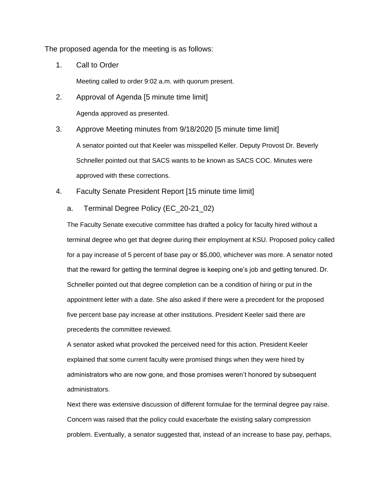The proposed agenda for the meeting is as follows:

1. Call to Order

Meeting called to order 9:02 a.m. with quorum present.

2. Approval of Agenda [5 minute time limit]

Agenda approved as presented.

- 3. Approve Meeting minutes from 9/18/2020 [5 minute time limit] A senator pointed out that Keeler was misspelled Keller. Deputy Provost Dr. Beverly Schneller pointed out that SACS wants to be known as SACS COC. Minutes were approved with these corrections.
- 4. Faculty Senate President Report [15 minute time limit]
	- a. Terminal Degree Policy (EC\_20-21\_02)

The Faculty Senate executive committee has drafted a policy for faculty hired without a terminal degree who get that degree during their employment at KSU. Proposed policy called for a pay increase of 5 percent of base pay or \$5,000, whichever was more. A senator noted that the reward for getting the terminal degree is keeping one's job and getting tenured. Dr. Schneller pointed out that degree completion can be a condition of hiring or put in the appointment letter with a date. She also asked if there were a precedent for the proposed five percent base pay increase at other institutions. President Keeler said there are precedents the committee reviewed.

A senator asked what provoked the perceived need for this action. President Keeler explained that some current faculty were promised things when they were hired by administrators who are now gone, and those promises weren't honored by subsequent administrators.

Next there was extensive discussion of different formulae for the terminal degree pay raise. Concern was raised that the policy could exacerbate the existing salary compression problem. Eventually, a senator suggested that, instead of an increase to base pay, perhaps,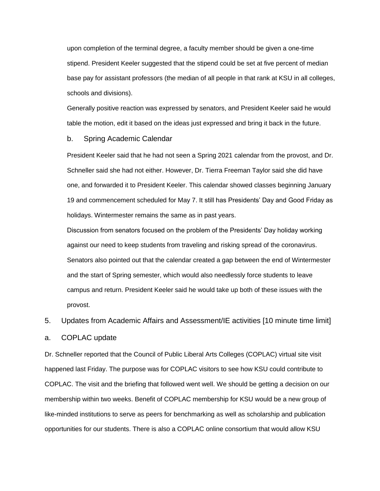upon completion of the terminal degree, a faculty member should be given a one-time stipend. President Keeler suggested that the stipend could be set at five percent of median base pay for assistant professors (the median of all people in that rank at KSU in all colleges, schools and divisions).

Generally positive reaction was expressed by senators, and President Keeler said he would table the motion, edit it based on the ideas just expressed and bring it back in the future.

#### b. Spring Academic Calendar

President Keeler said that he had not seen a Spring 2021 calendar from the provost, and Dr. Schneller said she had not either. However, Dr. Tierra Freeman Taylor said she did have one, and forwarded it to President Keeler. This calendar showed classes beginning January 19 and commencement scheduled for May 7. It still has Presidents' Day and Good Friday as holidays. Wintermester remains the same as in past years.

Discussion from senators focused on the problem of the Presidents' Day holiday working against our need to keep students from traveling and risking spread of the coronavirus. Senators also pointed out that the calendar created a gap between the end of Wintermester and the start of Spring semester, which would also needlessly force students to leave campus and return. President Keeler said he would take up both of these issues with the provost.

# 5. Updates from Academic Affairs and Assessment/IE activities [10 minute time limit]

### a. COPLAC update

Dr. Schneller reported that the Council of Public Liberal Arts Colleges (COPLAC) virtual site visit happened last Friday. The purpose was for COPLAC visitors to see how KSU could contribute to COPLAC. The visit and the briefing that followed went well. We should be getting a decision on our membership within two weeks. Benefit of COPLAC membership for KSU would be a new group of like-minded institutions to serve as peers for benchmarking as well as scholarship and publication opportunities for our students. There is also a COPLAC online consortium that would allow KSU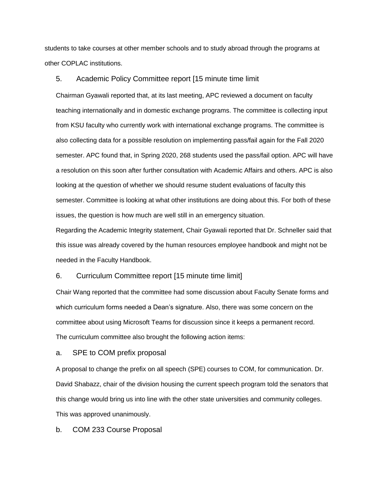students to take courses at other member schools and to study abroad through the programs at other COPLAC institutions.

#### 5. Academic Policy Committee report [15 minute time limit

Chairman Gyawali reported that, at its last meeting, APC reviewed a document on faculty teaching internationally and in domestic exchange programs. The committee is collecting input from KSU faculty who currently work with international exchange programs. The committee is also collecting data for a possible resolution on implementing pass/fail again for the Fall 2020 semester. APC found that, in Spring 2020, 268 students used the pass/fail option. APC will have a resolution on this soon after further consultation with Academic Affairs and others. APC is also looking at the question of whether we should resume student evaluations of faculty this semester. Committee is looking at what other institutions are doing about this. For both of these issues, the question is how much are well still in an emergency situation.

Regarding the Academic Integrity statement, Chair Gyawali reported that Dr. Schneller said that this issue was already covered by the human resources employee handbook and might not be needed in the Faculty Handbook.

### 6. Curriculum Committee report [15 minute time limit]

Chair Wang reported that the committee had some discussion about Faculty Senate forms and which curriculum forms needed a Dean's signature. Also, there was some concern on the committee about using Microsoft Teams for discussion since it keeps a permanent record. The curriculum committee also brought the following action items:

### a. SPE to COM prefix proposal

A proposal to change the prefix on all speech (SPE) courses to COM, for communication. Dr. David Shabazz, chair of the division housing the current speech program told the senators that this change would bring us into line with the other state universities and community colleges. This was approved unanimously.

b. COM 233 Course Proposal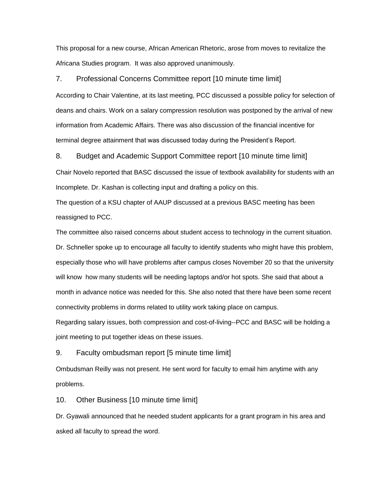This proposal for a new course, African American Rhetoric, arose from moves to revitalize the Africana Studies program. It was also approved unanimously.

#### 7. Professional Concerns Committee report [10 minute time limit]

According to Chair Valentine, at its last meeting, PCC discussed a possible policy for selection of deans and chairs. Work on a salary compression resolution was postponed by the arrival of new information from Academic Affairs. There was also discussion of the financial incentive for terminal degree attainment that was discussed today during the President's Report.

#### 8. Budget and Academic Support Committee report [10 minute time limit]

Chair Novelo reported that BASC discussed the issue of textbook availability for students with an Incomplete. Dr. Kashan is collecting input and drafting a policy on this.

The question of a KSU chapter of AAUP discussed at a previous BASC meeting has been reassigned to PCC.

The committee also raised concerns about student access to technology in the current situation. Dr. Schneller spoke up to encourage all faculty to identify students who might have this problem, especially those who will have problems after campus closes November 20 so that the university will know how many students will be needing laptops and/or hot spots. She said that about a month in advance notice was needed for this. She also noted that there have been some recent connectivity problems in dorms related to utility work taking place on campus.

Regarding salary issues, both compression and cost-of-living--PCC and BASC will be holding a joint meeting to put together ideas on these issues.

9. Faculty ombudsman report [5 minute time limit]

Ombudsman Reilly was not present. He sent word for faculty to email him anytime with any problems.

10. Other Business [10 minute time limit]

Dr. Gyawali announced that he needed student applicants for a grant program in his area and asked all faculty to spread the word.